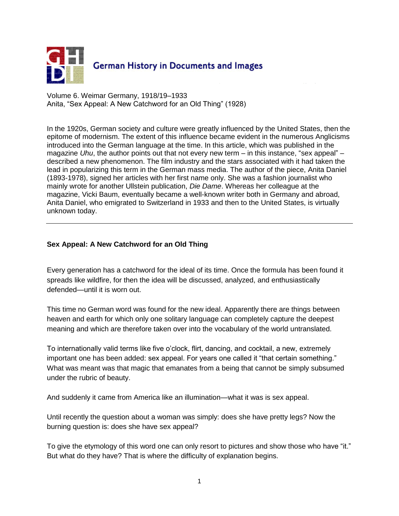

Volume 6. Weimar Germany, 1918/19–1933 Anita, "Sex Appeal: A New Catchword for an Old Thing" (1928)

In the 1920s, German society and culture were greatly influenced by the United States, then the epitome of modernism. The extent of this influence became evident in the numerous Anglicisms introduced into the German language at the time. In this article, which was published in the magazine *Uhu*, the author points out that not every new term – in this instance, "sex appeal" – described a new phenomenon. The film industry and the stars associated with it had taken the lead in popularizing this term in the German mass media. The author of the piece, Anita Daniel (1893-1978), signed her articles with her first name only. She was a fashion journalist who mainly wrote for another Ullstein publication, *Die Dame*. Whereas her colleague at the magazine, Vicki Baum, eventually became a well-known writer both in Germany and abroad, Anita Daniel, who emigrated to Switzerland in 1933 and then to the United States, is virtually unknown today.

## **Sex Appeal: A New Catchword for an Old Thing**

Every generation has a catchword for the ideal of its time. Once the formula has been found it spreads like wildfire, for then the idea will be discussed, analyzed, and enthusiastically defended—until it is worn out.

This time no German word was found for the new ideal. Apparently there are things between heaven and earth for which only one solitary language can completely capture the deepest meaning and which are therefore taken over into the vocabulary of the world untranslated.

To internationally valid terms like five o'clock, flirt, dancing, and cocktail, a new, extremely important one has been added: sex appeal. For years one called it "that certain something." What was meant was that magic that emanates from a being that cannot be simply subsumed under the rubric of beauty.

And suddenly it came from America like an illumination—what it was is sex appeal.

Until recently the question about a woman was simply: does she have pretty legs? Now the burning question is: does she have sex appeal?

To give the etymology of this word one can only resort to pictures and show those who have "it." But what do they have? That is where the difficulty of explanation begins.